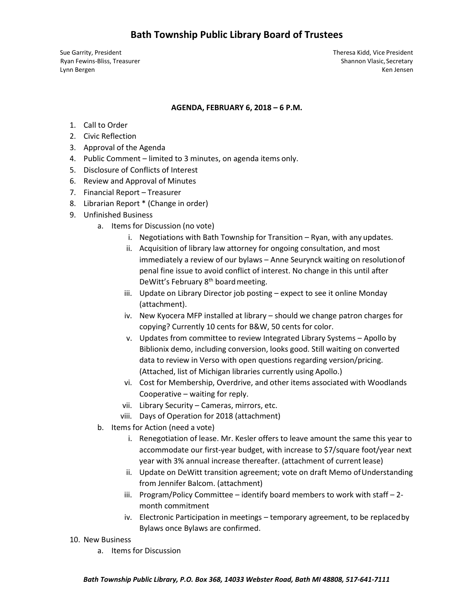Sue Garrity, President Theresa Kidd, Vice President Ryan Fewins-Bliss, Treasurer Shannon Vlasic, Secretary Shannon Vlasic, Secretary Lynn Bergen Ken Jensen Ken Jensen Ken Jensen Ken Jensen Ken Jensen Ken Jensen Ken Jensen Ken Jensen Ken Jensen

#### **AGENDA, FEBRUARY 6, 2018 – 6 P.M.**

- 1. Call to Order
- 2. Civic Reflection
- 3. Approval of the Agenda
- 4. Public Comment limited to 3 minutes, on agenda items only.
- 5. Disclosure of Conflicts of Interest
- 6. Review and Approval of Minutes
- 7. Financial Report Treasurer
- 8. Librarian Report \* (Change in order)
- 9. Unfinished Business
	- a. Items for Discussion (no vote)
		- i. Negotiations with Bath Township for Transition Ryan, with any updates.
		- ii. Acquisition of library law attorney for ongoing consultation, and most immediately a review of our bylaws – Anne Seurynck waiting on resolutionof penal fine issue to avoid conflict of interest. No change in this until after DeWitt's February  $8<sup>th</sup>$  board meeting.
		- iii. Update on Library Director job posting expect to see it online Monday (attachment).
		- iv. New Kyocera MFP installed at library should we change patron charges for copying? Currently 10 cents for B&W, 50 cents for color.
		- v. Updates from committee to review Integrated Library Systems Apollo by Biblionix demo, including conversion, looks good. Still waiting on converted data to review in Verso with open questions regarding version/pricing. (Attached, list of Michigan libraries currently using Apollo.)
		- vi. Cost for Membership, Overdrive, and other items associated with Woodlands Cooperative – waiting for reply.
		- vii. Library Security Cameras, mirrors, etc.
		- viii. Days of Operation for 2018 (attachment)
	- b. Items for Action (need a vote)
		- i. Renegotiation of lease. Mr. Kesler offers to leave amount the same this year to accommodate our first-year budget, with increase to \$7/square foot/year next year with 3% annual increase thereafter. (attachment of current lease)
		- ii. Update on DeWitt transition agreement; vote on draft Memo ofUnderstanding from Jennifer Balcom. (attachment)
		- iii. Program/Policy Committee identify board members to work with staff 2‐ month commitment
		- iv. Electronic Participation in meetings temporary agreement, to be replacedby Bylaws once Bylaws are confirmed.
- 10. New Business
	- a. Items for Discussion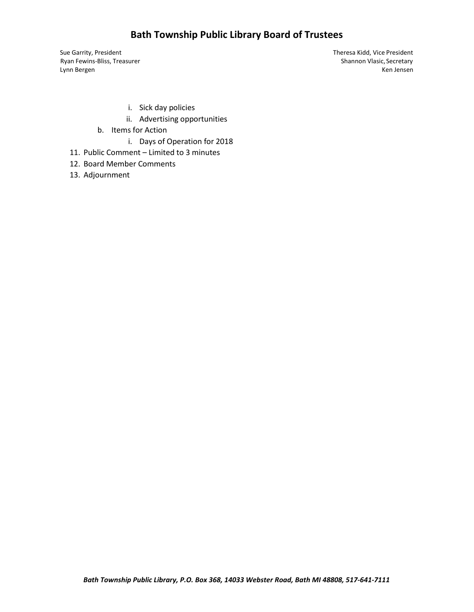#### **Bath Township Public Library Board of Trustees**

Sue Garrity, President Theresa Kidd, Vice President

Ryan Fewins-Bliss, Treasurer Shannon Vlasic, Secretary Shannon Vlasic, Secretary Lynn Bergen Ken Jensen Ken Jensen Ken Jensen Ken Jensen Ken Jensen Ken Jensen Ken Jensen

- i. Sick day policies
- ii. Advertising opportunities
- b. Items for Action
	- i. Days of Operation for 2018
- 11. Public Comment Limited to 3 minutes
- 12. Board Member Comments
- 13. Adjournment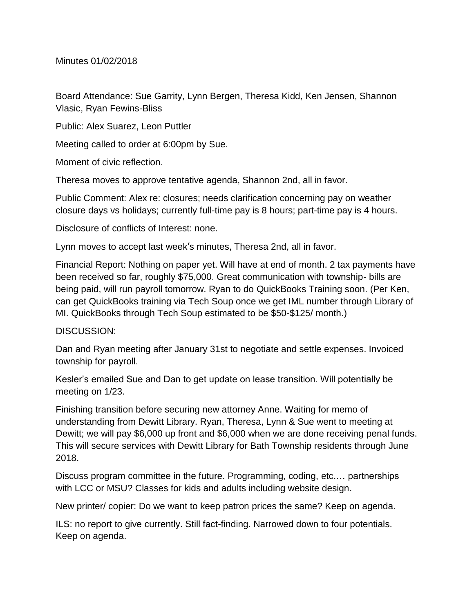Minutes 01/02/2018

Board Attendance: Sue Garrity, Lynn Bergen, Theresa Kidd, Ken Jensen, Shannon Vlasic, Ryan Fewins-Bliss

Public: Alex Suarez, Leon Puttler

Meeting called to order at 6:00pm by Sue.

Moment of civic reflection.

Theresa moves to approve tentative agenda, Shannon 2nd, all in favor.

Public Comment: Alex re: closures; needs clarification concerning pay on weather closure days vs holidays; currently full-time pay is 8 hours; part-time pay is 4 hours.

Disclosure of conflicts of Interest: none.

Lynn moves to accept last week's minutes, Theresa 2nd, all in favor.

Financial Report: Nothing on paper yet. Will have at end of month. 2 tax payments have been received so far, roughly \$75,000. Great communication with township- bills are being paid, will run payroll tomorrow. Ryan to do QuickBooks Training soon. (Per Ken, can get QuickBooks training via Tech Soup once we get IML number through Library of MI. QuickBooks through Tech Soup estimated to be \$50-\$125/ month.)

#### DISCUSSION:

Dan and Ryan meeting after January 31st to negotiate and settle expenses. Invoiced township for payroll.

Kesler's emailed Sue and Dan to get update on lease transition. Will potentially be meeting on 1/23.

Finishing transition before securing new attorney Anne. Waiting for memo of understanding from Dewitt Library. Ryan, Theresa, Lynn & Sue went to meeting at Dewitt; we will pay \$6,000 up front and \$6,000 when we are done receiving penal funds. This will secure services with Dewitt Library for Bath Township residents through June 2018.

Discuss program committee in the future. Programming, coding, etc.… partnerships with LCC or MSU? Classes for kids and adults including website design.

New printer/ copier: Do we want to keep patron prices the same? Keep on agenda.

ILS: no report to give currently. Still fact-finding. Narrowed down to four potentials. Keep on agenda.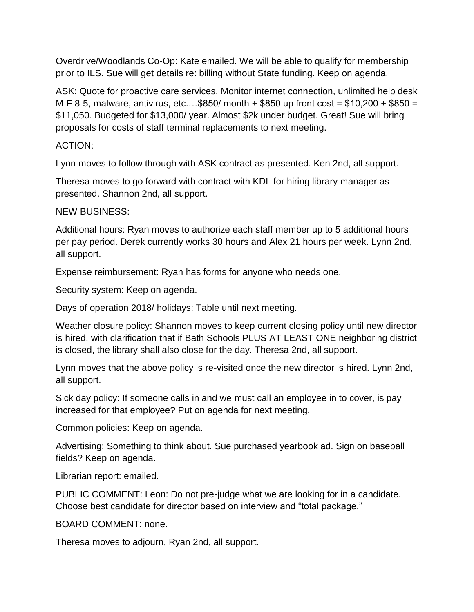Overdrive/Woodlands Co-Op: Kate emailed. We will be able to qualify for membership prior to ILS. Sue will get details re: billing without State funding. Keep on agenda.

ASK: Quote for proactive care services. Monitor internet connection, unlimited help desk M-F 8-5, malware, antivirus, etc.…\$850/ month + \$850 up front cost = \$10,200 + \$850 = \$11,050. Budgeted for \$13,000/ year. Almost \$2k under budget. Great! Sue will bring proposals for costs of staff terminal replacements to next meeting.

#### ACTION:

Lynn moves to follow through with ASK contract as presented. Ken 2nd, all support.

Theresa moves to go forward with contract with KDL for hiring library manager as presented. Shannon 2nd, all support.

NEW BUSINESS:

Additional hours: Ryan moves to authorize each staff member up to 5 additional hours per pay period. Derek currently works 30 hours and Alex 21 hours per week. Lynn 2nd, all support.

Expense reimbursement: Ryan has forms for anyone who needs one.

Security system: Keep on agenda.

Days of operation 2018/ holidays: Table until next meeting.

Weather closure policy: Shannon moves to keep current closing policy until new director is hired, with clarification that if Bath Schools PLUS AT LEAST ONE neighboring district is closed, the library shall also close for the day. Theresa 2nd, all support.

Lynn moves that the above policy is re-visited once the new director is hired. Lynn 2nd, all support.

Sick day policy: If someone calls in and we must call an employee in to cover, is pay increased for that employee? Put on agenda for next meeting.

Common policies: Keep on agenda.

Advertising: Something to think about. Sue purchased yearbook ad. Sign on baseball fields? Keep on agenda.

Librarian report: emailed.

PUBLIC COMMENT: Leon: Do not pre-judge what we are looking for in a candidate. Choose best candidate for director based on interview and "total package."

BOARD COMMENT: none.

Theresa moves to adjourn, Ryan 2nd, all support.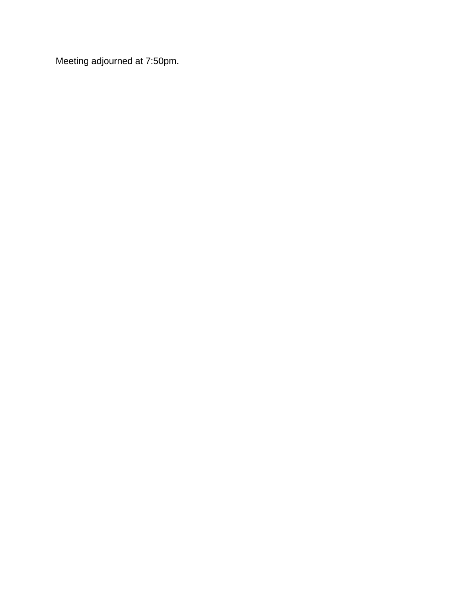Meeting adjourned at 7:50pm.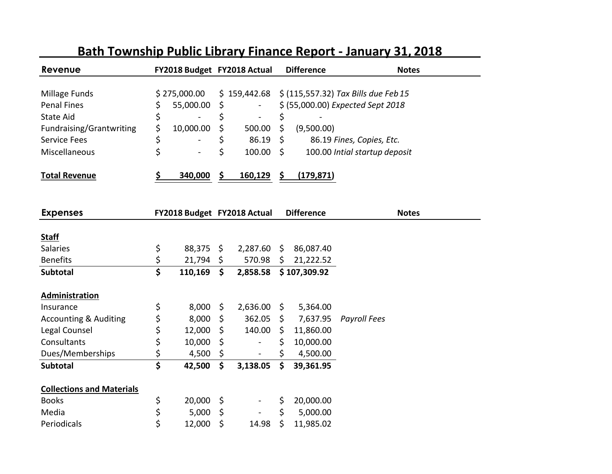| Revenue                  |   | FY2018 Budget FY2018 Actual |     |                          |    | <b>Difference</b> | <b>Notes</b>                                         |  |  |  |  |  |
|--------------------------|---|-----------------------------|-----|--------------------------|----|-------------------|------------------------------------------------------|--|--|--|--|--|
|                          |   |                             |     |                          |    |                   |                                                      |  |  |  |  |  |
| Millage Funds            |   | \$275,000.00                |     |                          |    |                   | $$ 159,442.68$ $$ (115,557.32)$ Tax Bills due Feb 15 |  |  |  |  |  |
| <b>Penal Fines</b>       | S | 55,000.00 \$                |     | $\sim$                   |    |                   | $$$ (55,000.00) Expected Sept 2018                   |  |  |  |  |  |
| State Aid                |   |                             |     | $\overline{\phantom{a}}$ |    |                   |                                                      |  |  |  |  |  |
| Fundraising/Grantwriting |   | 10,000.00                   | - S | 500.00                   | -S | (9,500.00)        |                                                      |  |  |  |  |  |
| <b>Service Fees</b>      |   | $\blacksquare$              |     | $86.19 \quad $$          |    |                   | 86.19 Fines, Copies, Etc.                            |  |  |  |  |  |
| <b>Miscellaneous</b>     |   | $\blacksquare$              | \$  | $100.00 \quad $$         |    |                   | 100.00 Intial startup deposit                        |  |  |  |  |  |
| <b>Total Revenue</b>     |   | 340,000                     |     | 160,129                  |    | (179, 871)        |                                                      |  |  |  |  |  |

# **Bath Township Public Library Finance Report - January 31, 2018**

| <b>Expenses</b>                  | FY2018 Budget FY2018 Actual |     |                              |     | <b>Difference</b> | <b>Notes</b>        |  |  |  |  |
|----------------------------------|-----------------------------|-----|------------------------------|-----|-------------------|---------------------|--|--|--|--|
|                                  |                             |     |                              |     |                   |                     |  |  |  |  |
| <b>Staff</b>                     |                             |     |                              |     |                   |                     |  |  |  |  |
| <b>Salaries</b>                  | \$<br>$88,375$ \$           |     | 2,287.60                     | S.  | 86,087.40         |                     |  |  |  |  |
| <b>Benefits</b>                  | \$<br>21,794                | -\$ | 570.98                       | S.  | 21,222.52         |                     |  |  |  |  |
| <b>Subtotal</b>                  | \$<br>110,169               | \$  | 2,858.58                     |     | \$107,309.92      |                     |  |  |  |  |
| Administration                   |                             |     |                              |     |                   |                     |  |  |  |  |
| Insurance                        | \$<br>8,000                 | Ŝ.  | 2,636.00                     | \$. | 5,364.00          |                     |  |  |  |  |
| <b>Accounting &amp; Auditing</b> | \$<br>8,000                 | -\$ | 362.05                       | S.  | 7,637.95          | <b>Payroll Fees</b> |  |  |  |  |
| Legal Counsel                    | \$<br>12,000                | Ŝ.  | 140.00                       | S.  | 11,860.00         |                     |  |  |  |  |
| Consultants                      | 10,000                      | -\$ | $\blacksquare$               | S   | 10,000.00         |                     |  |  |  |  |
| Dues/Memberships                 | \$<br>4,500                 | \$  | $\qquad \qquad \blacksquare$ | Ş   | 4,500.00          |                     |  |  |  |  |
| <b>Subtotal</b>                  | \$<br>42,500                | \$  | 3,138.05                     | \$  | 39,361.95         |                     |  |  |  |  |
| <b>Collections and Materials</b> |                             |     |                              |     |                   |                     |  |  |  |  |
| <b>Books</b>                     | \$<br>$20,000$ \$           |     | $\blacksquare$               | \$  | 20,000.00         |                     |  |  |  |  |
| Media                            | \$<br>5,000                 | - Ś | -                            | \$  | 5,000.00          |                     |  |  |  |  |
| Periodicals                      | \$<br>12,000                | \$  | 14.98                        | \$  | 11,985.02         |                     |  |  |  |  |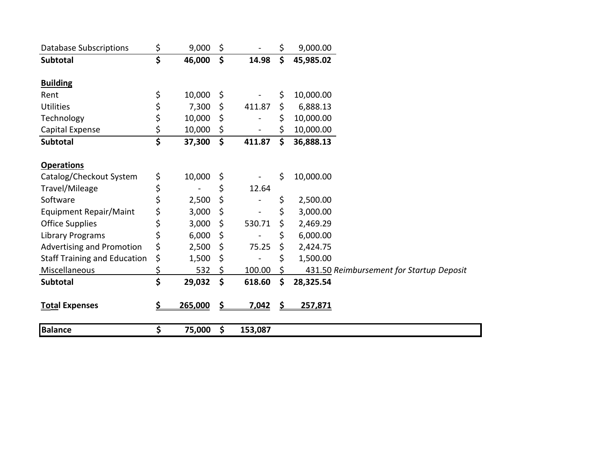| <b>Database Subscriptions</b>       | \$ | 9,000   | \$  |         | \$ | 9,000.00                                 |  |
|-------------------------------------|----|---------|-----|---------|----|------------------------------------------|--|
| <b>Subtotal</b>                     | \$ | 46,000  | \$  | 14.98   | \$ | 45,985.02                                |  |
|                                     |    |         |     |         |    |                                          |  |
| <b>Building</b>                     |    |         |     |         |    |                                          |  |
| Rent                                | \$ | 10,000  | \$  |         | \$ | 10,000.00                                |  |
| <b>Utilities</b>                    | \$ | 7,300   | \$  | 411.87  | Ś. | 6,888.13                                 |  |
| Technology                          | \$ | 10,000  | \$  |         | \$ | 10,000.00                                |  |
| Capital Expense                     | \$ | 10,000  | \$. |         | \$ | 10,000.00                                |  |
| Subtotal                            | \$ | 37,300  | \$  | 411.87  | \$ | 36,888.13                                |  |
| <b>Operations</b>                   |    |         |     |         |    |                                          |  |
| Catalog/Checkout System             | \$ | 10,000  | \$  |         | \$ | 10,000.00                                |  |
| Travel/Mileage                      | \$ |         | \$  | 12.64   |    |                                          |  |
| Software                            | \$ | 2,500   | \$  |         | \$ | 2,500.00                                 |  |
| Equipment Repair/Maint              | \$ | 3,000   | \$  |         | \$ | 3,000.00                                 |  |
| <b>Office Supplies</b>              | \$ | 3,000   | \$  | 530.71  | \$ | 2,469.29                                 |  |
| Library Programs                    | \$ | 6,000   | \$  |         | \$ | 6,000.00                                 |  |
| Advertising and Promotion           | \$ | 2,500   | \$  | 75.25   | \$ | 2,424.75                                 |  |
| <b>Staff Training and Education</b> | \$ | 1,500   | \$  |         | \$ | 1,500.00                                 |  |
| Miscellaneous                       | \$ | 532     |     | 100.00  |    | 431.50 Reimbursement for Startup Deposit |  |
| <b>Subtotal</b>                     | \$ | 29,032  | \$  | 618.60  | \$ | 28,325.54                                |  |
| <b>Total Expenses</b>               | S  | 265,000 | \$  | 7,042   | S  | 257,871                                  |  |
| <b>Balance</b>                      | \$ | 75,000  | \$  | 153,087 |    |                                          |  |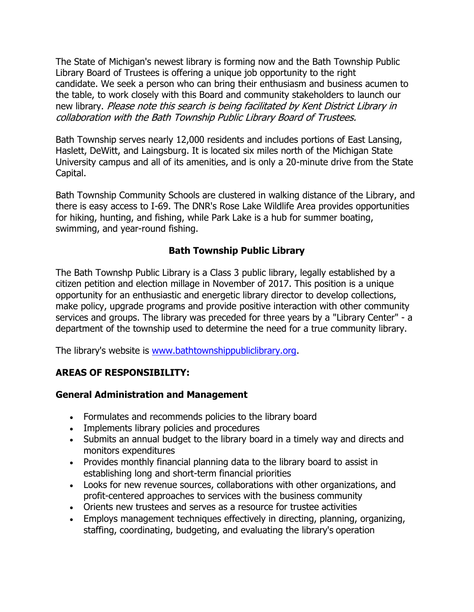The State of Michigan's newest library is forming now and the Bath Township Public Library Board of Trustees is offering a unique job opportunity to the right candidate. We seek a person who can bring their enthusiasm and business acumen to the table, to work closely with this Board and community stakeholders to launch our new library. Please note this search is being facilitated by Kent District Library in collaboration with the Bath Township Public Library Board of Trustees.

Bath Township serves nearly 12,000 residents and includes portions of East Lansing, Haslett, DeWitt, and Laingsburg. It is located six miles north of the Michigan State University campus and all of its amenities, and is only a 20-minute drive from the State Capital.

Bath Township Community Schools are clustered in walking distance of the Library, and there is easy access to I-69. The DNR's Rose Lake Wildlife Area provides opportunities for hiking, hunting, and fishing, while Park Lake is a hub for summer boating, swimming, and year-round fishing.

## **Bath Township Public Library**

The Bath Townshp Public Library is a Class 3 public library, legally established by a citizen petition and election millage in November of 2017. This position is a unique opportunity for an enthusiastic and energetic library director to develop collections, make policy, upgrade programs and provide positive interaction with other community services and groups. The library was preceded for three years by a "Library Center" - a department of the township used to determine the need for a true community library.

The library's website is [www.bathtownshippubliclibrary.org.](http://www.bathtownshippubliclibrary.org/)

#### **AREAS OF RESPONSIBILITY:**

#### **General Administration and Management**

- Formulates and recommends policies to the library board
- Implements library policies and procedures
- Submits an annual budget to the library board in a timely way and directs and monitors expenditures
- Provides monthly financial planning data to the library board to assist in establishing long and short-term financial priorities
- Looks for new revenue sources, collaborations with other organizations, and profit-centered approaches to services with the business community
- Orients new trustees and serves as a resource for trustee activities
- Employs management techniques effectively in directing, planning, organizing, staffing, coordinating, budgeting, and evaluating the library's operation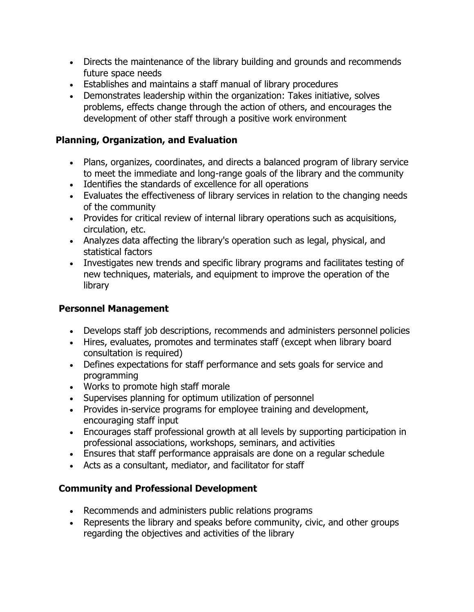- Directs the maintenance of the library building and grounds and recommends future space needs
- Establishes and maintains a staff manual of library procedures
- Demonstrates leadership within the organization: Takes initiative, solves problems, effects change through the action of others, and encourages the development of other staff through a positive work environment

### **Planning, Organization, and Evaluation**

- Plans, organizes, coordinates, and directs a balanced program of library service to meet the immediate and long-range goals of the library and the community
- Identifies the standards of excellence for all operations
- Evaluates the effectiveness of library services in relation to the changing needs of the community
- Provides for critical review of internal library operations such as acquisitions, circulation, etc.
- Analyzes data affecting the library's operation such as legal, physical, and statistical factors
- Investigates new trends and specific library programs and facilitates testing of new techniques, materials, and equipment to improve the operation of the library

# **Personnel Management**

- Develops staff job descriptions, recommends and administers personnel policies
- Hires, evaluates, promotes and terminates staff (except when library board consultation is required)
- Defines expectations for staff performance and sets goals for service and programming
- Works to promote high staff morale
- Supervises planning for optimum utilization of personnel
- Provides in-service programs for employee training and development, encouraging staff input
- Encourages staff professional growth at all levels by supporting participation in professional associations, workshops, seminars, and activities
- Ensures that staff performance appraisals are done on a regular schedule
- Acts as a consultant, mediator, and facilitator for staff

# **Community and Professional Development**

- Recommends and administers public relations programs
- Represents the library and speaks before community, civic, and other groups regarding the objectives and activities of the library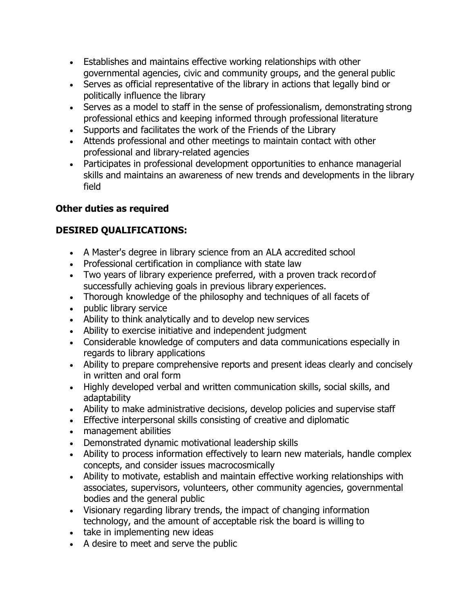- Establishes and maintains effective working relationships with other governmental agencies, civic and community groups, and the general public
- Serves as official representative of the library in actions that legally bind or politically influence the library
- Serves as a model to staff in the sense of professionalism, demonstrating strong professional ethics and keeping informed through professional literature
- Supports and facilitates the work of the Friends of the Library
- Attends professional and other meetings to maintain contact with other professional and library-related agencies
- Participates in professional development opportunities to enhance managerial skills and maintains an awareness of new trends and developments in the library field

## **Other duties as required**

# **DESIRED QUALIFICATIONS:**

- A Master's degree in library science from an ALA accredited school
- Professional certification in compliance with state law
- Two years of library experience preferred, with a proven track recordof successfully achieving goals in previous library experiences.
- Thorough knowledge of the philosophy and techniques of all facets of
- public library service
- Ability to think analytically and to develop new services
- Ability to exercise initiative and independent judgment
- Considerable knowledge of computers and data communications especially in regards to library applications
- Ability to prepare comprehensive reports and present ideas clearly and concisely in written and oral form
- Highly developed verbal and written communication skills, social skills, and adaptability
- Ability to make administrative decisions, develop policies and supervise staff
- Effective interpersonal skills consisting of creative and diplomatic
- management abilities
- Demonstrated dynamic motivational leadership skills
- Ability to process information effectively to learn new materials, handle complex concepts, and consider issues macrocosmically
- Ability to motivate, establish and maintain effective working relationships with associates, supervisors, volunteers, other community agencies, governmental bodies and the general public
- Visionary regarding library trends, the impact of changing information technology, and the amount of acceptable risk the board is willing to
- take in implementing new ideas
- A desire to meet and serve the public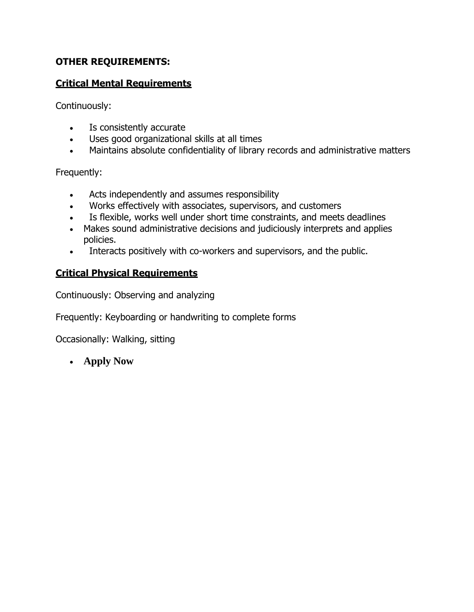#### **OTHER REQUIREMENTS:**

#### **Critical Mental Requirements**

Continuously:

- Is consistently accurate
- Uses good organizational skills at all times
- Maintains absolute confidentiality of library records and administrative matters

Frequently:

- Acts independently and assumes responsibility
- Works effectively with associates, supervisors, and customers
- Is flexible, works well under short time constraints, and meets deadlines
- Makes sound administrative decisions and judiciously interprets and applies policies.
- Interacts positively with co-workers and supervisors, and the public.

#### **Critical Physical Requirements**

Continuously: Observing and analyzing

Frequently: Keyboarding or handwriting to complete forms

Occasionally: Walking, sitting

• **Apply Now**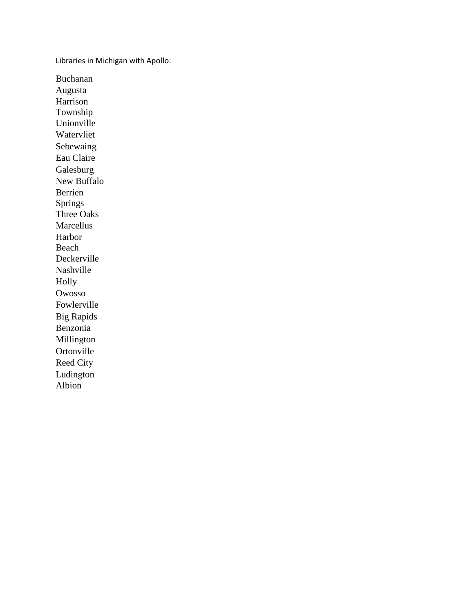Libraries in Michigan with Apollo:

Buchanan Augusta Harrison Township Unionville Watervliet Sebewaing Eau Claire Galesburg New Buffalo Berrien Springs Three Oaks Marcellus Harbor Beach Deckerville Nashville Holly Owosso Fowlerville Big Rapids Benzonia Millington Ortonville Reed City Ludington Albion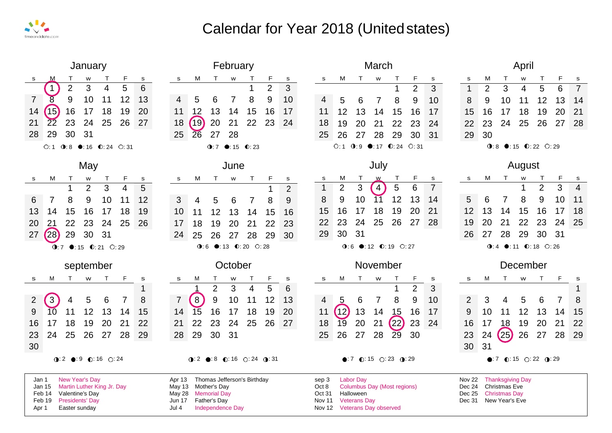

# Calendar for Year 2018 (United states)

|                |                                                                                                                                                                                                                                                                |                | January        |                      |    |    |                                                  |    |               |                | February                 |                                                                                               |                                                              |                |                    |                |                | March           |                                      |                |                                                                                   |  |                |                |                              | Ap             |
|----------------|----------------------------------------------------------------------------------------------------------------------------------------------------------------------------------------------------------------------------------------------------------------|----------------|----------------|----------------------|----|----|--------------------------------------------------|----|---------------|----------------|--------------------------|-----------------------------------------------------------------------------------------------|--------------------------------------------------------------|----------------|--------------------|----------------|----------------|-----------------|--------------------------------------|----------------|-----------------------------------------------------------------------------------|--|----------------|----------------|------------------------------|----------------|
| s              | м                                                                                                                                                                                                                                                              | т              | W              | т                    | F  | s  |                                                  | s  | м             | т              | w                        | т                                                                                             | F                                                            | s              | s                  | м              | T.             | W               | Т                                    | F              | s                                                                                 |  | s              | м              | Т                            | W              |
|                | $\mathbf 1$                                                                                                                                                                                                                                                    | $\overline{2}$ | 3              | $\overline{4}$       | 5  | 6  |                                                  |    |               |                |                          | 1                                                                                             | $\overline{2}$                                               | 3              |                    |                |                |                 |                                      | $\overline{2}$ | 3                                                                                 |  | 1              | $\overline{2}$ | 3                            | 4              |
| $\overline{7}$ | 8                                                                                                                                                                                                                                                              | 9              | 10             | 11                   | 12 | 13 |                                                  | 4  | 5             | 6              | 7                        | 8                                                                                             | 9                                                            | 10             | 4                  | 5              | 6              | $\overline{7}$  | 8                                    | 9              | 10                                                                                |  | 8              | 9              | 10                           | 11             |
| 14             | (15)                                                                                                                                                                                                                                                           | 16             | 17             | 18                   | 19 | 20 |                                                  | 11 | 12            | 13             | 14                       | 15                                                                                            | 16                                                           | 17             | 11                 | 12             | 13             | 14              | 15                                   | 16             | 17                                                                                |  | 15             | 16             | 17                           | 18             |
| 21             | $\overline{22}$                                                                                                                                                                                                                                                | 23             | 24             | 25                   | 26 | 27 |                                                  | 18 | (19)          | 20             | 21                       | 22                                                                                            | 23                                                           | 24             | 18                 | 19             | 20             | 21              | 22                                   | 23             | 24                                                                                |  | 22             | 23             | 24                           | 25             |
| 28             | 29                                                                                                                                                                                                                                                             | 30             | 31             |                      |    |    |                                                  | 25 | 26            | 27             | 28                       |                                                                                               |                                                              |                | 25                 | 26             | 27             | 28              | 29                                   | 30             | 31                                                                                |  | 29             | 30             |                              |                |
|                | O:1                                                                                                                                                                                                                                                            |                |                | $0.8$ 0:16 0:24 0:31 |    |    |                                                  |    |               |                | $0:7$ 0:15 0:23          |                                                                                               |                                                              |                |                    | O:1            |                |                 | $0:9$ 0:17 0:24 0:31                 |                |                                                                                   |  |                |                | $9:8$ 0:15                   |                |
|                |                                                                                                                                                                                                                                                                |                | May            |                      |    |    |                                                  |    |               |                | June                     |                                                                                               |                                                              |                |                    |                |                | July            |                                      |                |                                                                                   |  |                |                |                              | Aug            |
| s              | м                                                                                                                                                                                                                                                              |                | w              | т                    | F  | s  |                                                  | s  | м             | т              | w                        | т                                                                                             | F                                                            | s              | s                  | м              | т              |                 | т                                    | F              | s                                                                                 |  | s              | м              | т                            | W              |
|                |                                                                                                                                                                                                                                                                | 1              | $\overline{2}$ | 3                    | 4  | 5  |                                                  |    |               |                |                          |                                                                                               | 1                                                            | $\overline{2}$ | $\mathbf 1$        | $\overline{2}$ | $\mathfrak{S}$ | $\overline{4}$  | 5                                    | $6\phantom{a}$ | $\overline{7}$                                                                    |  |                |                |                              |                |
| 6              | 7                                                                                                                                                                                                                                                              | 8              | 9              | 10                   | 11 | 12 |                                                  | 3  | 4             | 5              | 6                        | $\overline{7}$                                                                                | 8                                                            | 9              | 8                  | 9              | 10             | $\overline{11}$ | 12                                   | 13             | 14                                                                                |  | 5              | 6              | 7                            | 8              |
| 13             | 14                                                                                                                                                                                                                                                             | 15             | 16             | 17                   | 18 | 19 |                                                  | 10 | 11            | 12             | 13                       | 14                                                                                            | 15                                                           | 16             | 15                 | 16             | 17             | 18              | 19                                   | 20             | 21                                                                                |  | 12             | 13             | 14                           | 15             |
| 20             | 21                                                                                                                                                                                                                                                             | 22             | 23             | 24                   | 25 | 26 |                                                  | 17 | 18            | 19             | 20                       | 21                                                                                            | 22                                                           | 23             | 22                 | 23             | 24             | 25              | 26                                   | 27             | 28                                                                                |  | 19             | 20             | 21                           | 22             |
| 27             | (28)                                                                                                                                                                                                                                                           | 29             | 30             | 31                   |    |    |                                                  | 24 | 25            | 26             | 27                       | 28                                                                                            | 29                                                           | 30             | 29                 | 30             | 31             |                 |                                      |                |                                                                                   |  | 26             | 27             | 28                           | 29             |
|                |                                                                                                                                                                                                                                                                |                |                | $0.7$ 0:15 0:21 0:29 |    |    | • 13 $\bullet$ 20 $\circ$ 28<br>$\mathbf{Q}$ : 6 |    |               |                |                          |                                                                                               |                                                              |                |                    |                |                |                 | $0:6$ 0:12 0:19 0:27                 |                |                                                                                   |  |                |                | $0:4$ 0:11                   |                |
|                |                                                                                                                                                                                                                                                                |                | september      |                      |    |    |                                                  |    |               |                | October                  |                                                                                               |                                                              |                | November           |                |                |                 |                                      |                |                                                                                   |  |                |                |                              | Decer          |
| s              | м                                                                                                                                                                                                                                                              | т              | w              | т                    | F  | s  |                                                  | s  | M             | т              | w                        | т                                                                                             | F                                                            | ${\tt s}$      | s                  | м              | T              | w               |                                      | F              | s                                                                                 |  | s              | м              | т                            | w              |
|                |                                                                                                                                                                                                                                                                |                |                |                      |    | 1  |                                                  |    |               | $\overline{2}$ | 3                        | $\overline{\mathcal{A}}$                                                                      | 5                                                            | 6              |                    |                |                |                 | $\mathbf 1$                          | $\overline{2}$ | 3                                                                                 |  |                |                |                              |                |
| $\overline{2}$ | $3^{\circ}$                                                                                                                                                                                                                                                    | 4              | 5              | 6                    | 7  | 8  |                                                  | 7  | $\mathcal{B}$ | 9              | 10                       | 11                                                                                            | 12                                                           | 13             | 4                  | 5              | 6              | 7               | 8                                    | 9              | 10                                                                                |  | $\overline{2}$ | 3              | 4                            | 5              |
| 9              | 10                                                                                                                                                                                                                                                             | 11             | 12             | 13                   | 14 | 15 |                                                  | 14 | 15            | 16             | 17                       | 18                                                                                            | 19                                                           | 20             | 11                 | (12)           | 13             | 14              | 15                                   | 16             | 17                                                                                |  | 9              | 10             | 11                           | 12             |
| 16             | 17                                                                                                                                                                                                                                                             | 18             | 19             | 20                   | 21 | 22 |                                                  | 21 | 22            | 23             | 24                       | 25                                                                                            | 26                                                           | 27             | 18                 | 19             | 20             | 21              | (22)                                 | 23             | 24                                                                                |  | 16             | 17             | 18                           | 1 <sup>c</sup> |
| 23             | 24                                                                                                                                                                                                                                                             | 25             | 26             | 27                   | 28 | 29 |                                                  | 28 | 29            | 30             | 31                       |                                                                                               |                                                              |                | 25                 | 26             | 27             | 28              | 29                                   | 30             |                                                                                   |  | 23             | 24             | (25)                         | 26             |
| 30             |                                                                                                                                                                                                                                                                |                |                |                      |    |    |                                                  |    |               |                |                          |                                                                                               |                                                              |                |                    |                |                |                 |                                      |                |                                                                                   |  | 30             | 31             |                              |                |
|                |                                                                                                                                                                                                                                                                |                |                | $0:2$ 0:9 0:16 0:24  |    |    |                                                  |    |               |                |                          |                                                                                               | $\bullet$ 2 $\bullet$ 8 $\bullet$ 16 $\circ$ 24 $\bullet$ 31 |                | • 7 0 15 0 23 0 29 |                |                |                 |                                      |                |                                                                                   |  |                |                | $\bullet$ :7 $\bullet$ :15 ( |                |
|                | New Year's Day<br>Thomas Jefferson's Birthday<br>Apr 13<br>Jan 1<br>Martin Luther King Jr. Day<br>May 13<br>Mother's Day<br>Jan 15<br>Valentine's Day<br>Feb 14<br>May 28<br><b>Memorial Day</b><br><b>Presidents' Day</b><br>Father's Day<br>Feb 19<br>Jun 17 |                |                |                      |    |    |                                                  |    |               |                | sep 3<br>Oct 8<br>Nov 11 | Labor Day<br><b>Columbus Day (Most regions)</b><br>Oct 31<br>Halloween<br><b>Veterans Day</b> |                                                              |                |                    |                |                |                 | Nov 22<br>Dec 24<br>Dec 25<br>Dec 31 |                | <b>Thanksgiving Da</b><br>Christmas Eve<br><b>Christmas Day</b><br>New Year's Eve |  |                |                |                              |                |

Apr 1 Easter sunday The Suite of the Unit of the Unit of the Independence Day Nov 12 Veterans Day observed

|                                                                                                                                                                                     |      |                | January   |                                                     |    |                 |    |                                                                                                 |                | February                                                          |    |                |                |                                                                                             |                |        | March          |                          |                |                      |          |                    |                |      | April  |                      |        |                |
|-------------------------------------------------------------------------------------------------------------------------------------------------------------------------------------|------|----------------|-----------|-----------------------------------------------------|----|-----------------|----|-------------------------------------------------------------------------------------------------|----------------|-------------------------------------------------------------------|----|----------------|----------------|---------------------------------------------------------------------------------------------|----------------|--------|----------------|--------------------------|----------------|----------------------|----------|--------------------|----------------|------|--------|----------------------|--------|----------------|
| s                                                                                                                                                                                   |      |                | w         |                                                     | F  | s               | s  | м                                                                                               |                | W                                                                 |    | F              | s              | s                                                                                           | м              |        | W              | т                        | F              | s                    |          | s                  | м              |      | W      | т                    | F      | s              |
|                                                                                                                                                                                     |      | $\overline{2}$ | 3         | 4                                                   | 5  | 6               |    |                                                                                                 |                |                                                                   |    | $\overline{2}$ | 3              |                                                                                             |                |        |                | 1                        | $\overline{2}$ | 3                    |          |                    | $\overline{2}$ | 3    | 4      | 5                    | 6      | $\overline{7}$ |
| $\overline{7}$                                                                                                                                                                      | 8    | 9              | 10        | 11                                                  | 12 | 13              | 4  | 5                                                                                               | 6              | 7                                                                 | 8  | 9              | 10             | 4                                                                                           | 5              | 6      | 7              | 8                        | 9              | 10                   |          | 8                  | 9              | 10   | 11     | 12                   | 13     | 14             |
| 14                                                                                                                                                                                  | (15) | 16             | 17        | 18                                                  | 19 | 20              | 11 | 12                                                                                              | 13             | 14                                                                | 15 | 16             | 17             | 11                                                                                          | 12             | 13     | 14             | 15                       | 16             | 17                   |          | 15                 | 16             | 17   | 18     | 19                   | 20     | 21             |
| 21                                                                                                                                                                                  | 22   | 23             | 24        | 25                                                  | 26 | 27              | 18 | (19)                                                                                            | 20             | 21                                                                | 22 | 23             | 24             | 18                                                                                          | 19             | 20     | 21             | 22                       | 23             | 24                   |          | 22                 | 23             | 24   | 25     | 26                   | 27     | 28             |
| 28                                                                                                                                                                                  | 29   | 30             | 31        |                                                     |    |                 | 25 | 26                                                                                              | 27             | 28                                                                |    |                |                | 25                                                                                          | 26             | 27     | 28             | 29                       | 30             | 31                   |          | 29                 | 30             |      |        |                      |        |                |
|                                                                                                                                                                                     |      |                |           | $O:1$ 0:8 0:16 0:24 0:31                            |    |                 |    |                                                                                                 |                | $0:7$ 0:15 0:23                                                   |    |                |                |                                                                                             | O:1            |        |                | $0:9$ 0:17 0:24 0:31     |                |                      |          |                    |                |      |        | $0:8$ 0:15 0:22 0:29 |        |                |
|                                                                                                                                                                                     |      |                |           |                                                     |    |                 |    |                                                                                                 |                |                                                                   |    |                |                |                                                                                             |                |        |                |                          |                |                      |          |                    |                |      |        |                      |        |                |
|                                                                                                                                                                                     |      |                | May       |                                                     |    |                 |    |                                                                                                 |                | June                                                              |    |                |                | July                                                                                        |                |        |                |                          |                |                      |          |                    |                |      | August |                      |        |                |
| s                                                                                                                                                                                   | м    | Т              | w         |                                                     |    | s               | s  | М                                                                                               |                | W                                                                 | T. | F              | s              | s                                                                                           | м              | т<br>3 |                | т<br>5                   | F              | s<br>$\overline{7}$  |          | s                  | м              |      | w      | 2                    | F<br>3 | s              |
|                                                                                                                                                                                     |      |                | 2         | 3                                                   | 4  | $5\phantom{.0}$ |    |                                                                                                 |                |                                                                   |    | 1              | $\overline{2}$ | 1                                                                                           | $\overline{2}$ |        | $\overline{4}$ |                          | 6              |                      |          |                    |                |      | 1      |                      |        | $\overline{4}$ |
| 6                                                                                                                                                                                   |      | 8              | 9         | 10                                                  | 11 | 12              | 3  | 4                                                                                               | 5              | 6                                                                 |    | 8              | 9              | 8                                                                                           | 9              | 10     | 11             | 12                       | 13             | 14                   |          | 5                  | 6              |      | 8      | 9                    | 10     | 11             |
| 13                                                                                                                                                                                  | 14   | 15             | 16        | 17                                                  | 18 | 19              | 10 | 11                                                                                              | 12             | 13                                                                | 14 | 15             | 16             | 15                                                                                          | 16             | 17     | 18             | 19                       | 20             | 21                   |          | 12                 | 13             | 14   | 15     | 16                   | 17     | 18             |
| 20                                                                                                                                                                                  | 21   | 22             | 23        | 24                                                  | 25 | 26              | 17 | 18                                                                                              | 19             | 20                                                                | 21 | 22             | 23             | 22                                                                                          | 23             | 24     | 25             | 26                       | 27             | 28                   |          | 19                 | 20             | 21   | 22     | 23                   | 24     | 25             |
| 27                                                                                                                                                                                  | (28) | 29             | 30        | 31                                                  |    |                 | 24 | 25                                                                                              | 26             | 27                                                                | 28 | 29             | 30             | 29                                                                                          | 30             | 31     |                |                          |                |                      |          | 26                 | 27             | 28   | 29     | 30                   | 31     |                |
|                                                                                                                                                                                     |      |                |           | $0.7$ 0:15 0:21 0:29                                |    |                 |    | Q:6                                                                                             |                | •: 13 •: 20 $\circ$ : 28                                          |    |                |                | $0:6$ 0:12 0:19 0:27                                                                        |                |        |                |                          |                | $0:4$ 0:11 0:18 0:26 |          |                    |                |      |        |                      |        |                |
|                                                                                                                                                                                     |      |                | september |                                                     |    |                 |    |                                                                                                 |                | October                                                           |    |                |                | November                                                                                    |                |        |                |                          |                |                      | December |                    |                |      |        |                      |        |                |
| s                                                                                                                                                                                   | M    | Τ              | w         | T                                                   | F  | s               | s  | M                                                                                               |                | w                                                                 |    | F              | s              | s                                                                                           | м              | T.     | w              | Т                        | F              | s                    |          | s                  | M              |      | w      |                      | F.     | s              |
|                                                                                                                                                                                     |      |                |           |                                                     |    |                 |    |                                                                                                 | $\overline{2}$ | 3                                                                 | 4  | 5              | 6              |                                                                                             |                |        |                |                          | $\overline{2}$ | 3                    |          |                    |                |      |        |                      |        |                |
| $\overline{2}$                                                                                                                                                                      | 3    |                | 5         | 6                                                   |    | 8               | 7  | 8 <sup>1</sup>                                                                                  | 9              | 10                                                                | 11 | 12             | 13             | 4                                                                                           |                | 6      | 7              | 8                        | 9              | 10                   |          | $\overline{2}$     | 3              |      | 5      | 6                    | 7      | 8              |
| 9                                                                                                                                                                                   | 10   | 11             | 12        | 13                                                  | 14 | 15              | 14 | 15                                                                                              | 16             | 17                                                                | 18 | 19             | 20             | 11                                                                                          | (12)           | 13     | 14             | 15                       | 16             | 17                   |          | $9\,$              | 10             | 11   | 12     | 13                   | 14     | 15             |
| 16                                                                                                                                                                                  | 17   | 18             | 19        | 20                                                  | 21 | 22              | 21 | 22                                                                                              | 23             | 24                                                                | 25 | 26             | 27             | 18                                                                                          | 19             | 20     | 21             | $\overline{\textbf{22}}$ | 23             | 24                   |          | 16                 | 17             | 18   | 19     | 20                   | 21     | 22             |
| 23                                                                                                                                                                                  | 24   | 25             | 26        | 27                                                  | 28 | 29              | 28 | 29                                                                                              | 30             | 31                                                                |    |                |                | 25                                                                                          | 26             | 27     | 28             | 29                       | 30             |                      |          | 23                 | 24             | (25) | 26     | 27                   | 28     | 29             |
| 30                                                                                                                                                                                  |      |                |           |                                                     |    |                 |    |                                                                                                 |                |                                                                   |    |                |                |                                                                                             |                |        |                |                          |                |                      |          | 30                 | 31             |      |        |                      |        |                |
|                                                                                                                                                                                     |      |                |           | $\bullet$ :2 $\bullet$ :9 $\bullet$ :16 $\circ$ :24 |    |                 |    |                                                                                                 |                | $\bullet$ :2 $\bullet$ :8 $\bullet$ :16 $\circ$ :24 $\bullet$ :31 |    |                |                |                                                                                             |                |        |                | • $7$ 0:15 0:23 0:29     |                |                      |          | • 7 0:15 0:22 0:29 |                |      |        |                      |        |                |
| New Year's Day<br>Thomas Jefferson's Birthday<br>Apr 13<br>Jan 1<br>Martin Luther King Jr. Day<br>May 13 Mother's Day<br>Jan 15<br>Valentine's Day<br>May 28 Memorial Day<br>Feb 14 |      |                |           |                                                     |    |                 |    | <b>Labor Day</b><br>sep 3<br>Oct 8<br><b>Columbus Day (Most regions)</b><br>Oct 31<br>Halloween |                |                                                                   |    |                |                | <b>Thanksgiving Day</b><br>Nov 22<br>Dec 24<br><b>Christmas Eve</b><br>Dec 25 Christmas Day |                |        |                |                          |                |                      |          |                    |                |      |        |                      |        |                |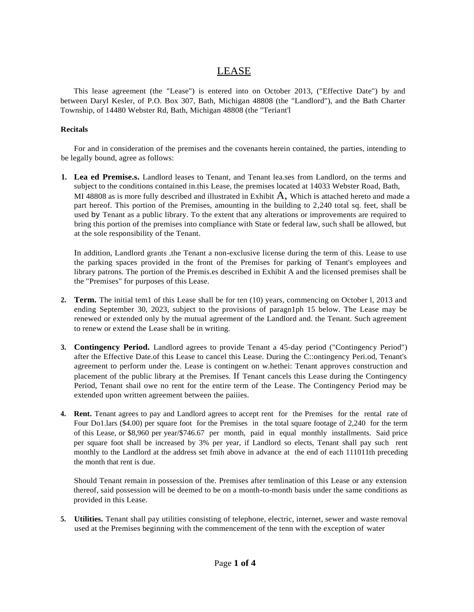#### LEASE

This lease agreement (the "Lease") is entered into on October 2013, ("Effective Date") by and between Daryl Kesler, of P.O. Box 307, Bath, Michigan 48808 (the "Landlord"), and the Bath Charter Township, of 14480 Webster Rd, Bath, Michigan 48808 (the "Teriant'l

#### **Recitals**

For and in consideration of the premises and the covenants herein contained, the parties, intending to be legally bound, agree as follows:

**1. Lea ed Premise.s.** Landlord leases to Tenant, and Tenant lea.ses from Landlord, on the terms and subject to the conditions contained in.this Lease, the premises located at 14033 Webster Road, Bath, MI 48808 as is more fully described and illustrated in Exhibit  $A$ , Which is attached hereto and made a part hereof. This portion of the Premises, amounting in the building to 2,240 total sq. feet, shall be used by Tenant as a public library. To the extent that any alterations or improvements are required to bring this portion of the premises into compliance with State or federal law, such shall be allowed, but at the sole responsibility of the Tenant.

In addition, Landlord grants .the Tenant a non-exclusive license during the term of this. Lease to use the parking spaces provided in the front of the Premises for parking of Tenant's employees and library patrons. The portion of the Premis.es described in Exhibit A and the licensed premises shall be the "Premises" for purposes of this Lease.

- **2. Term.** The initial tem1 of this Lease shall be for ten (10) years, commencing on October l, 2013 and ending September 30, 2023, subject to the provisions of paragn1ph 15 below. The Lease may be renewed or extended only by the mutual agreement of the Landlord and. the Tenant. Such agreement to renew or extend the Lease shall be in writing.
- **3. Contingency Period.** Landlord agrees to provide Tenant a 45-day period ("Contingency Period") after the Effective Date.of this Lease to cancel this Lease. During the C::ontingency Peri.od, Tenant's agreement to perform under the. Lease is contingent on w.hethei: Tenant approves construction and placement of the public library at the Premises. If Tenant cancels this Lease during the Contingency Period, Tenant shail owe no rent for the entire term of the Lease. The Contingency Period may be extended upon written agreement between the paiiies.
- **4. Rent.** Tenant agrees to pay and Landlord agrees to accept rent for the Premises for the rental rate of Four Do1.lars (\$4.00) per square foot for the Premises in the total square footage of 2,240 for the term of this Lease, or \$8,960 per year/\$746.67 per month, paid in equal monthly installments. Said price per square foot shall be increased by 3% per year, if Landlord so elects, Tenant shall pay such rent monthly to the Landlord at the address set fmih above in advance at the end of each 111011th preceding the month that rent is due.

Should Tenant remain in possession of the. Premises after temlination of this Lease or any extension thereof, said possession will be deemed to be on a month-to-month basis under the same conditions as provided in this Lease.

**5. Utilities.** Tenant shall pay utilities consisting of telephone, electric, internet, sewer and waste removal used at the Premises beginning with the commencement of the tenn with the exception of water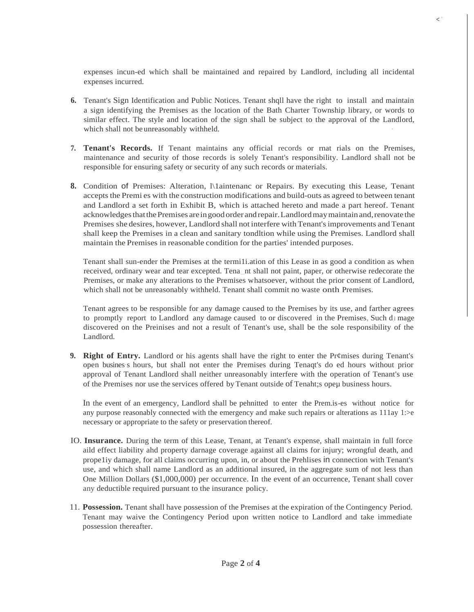expenses incun-ed which shall be maintained and repaired by Landlord, including all incidental expenses incurred.

 $\epsilon$ 

- **6.** Tenant's Sign Identification and Public Notices. Tenant shqll have the right to install and maintain a sign identifying the Premises as the location of the Bath Charter Township library, or words to similar effect. The style and location of the sign shall be subject to the approval of the Landlord, which shall not be unreasonably withheld.
- **7. Tenant's Records.** If Tenant maintains any official records or rnat rials on the Premises, maintenance and security of those records is solely Tenant's responsibility. Landlord shall not be responsible for ensuring safety or security of any such records or materials.
- 8. Condition of Premises: Alteration, I\1aintenanc or Repairs. By executing this Lease, Tenant accepts the Premi es with the construction modifications and build-outs as agreed to between tenant and Landlord a set forth in Exhibit B, which is attached hereto and made a part hereof. Tenant acknowledgesthatthePremises areingoodorder andrepair.Landlordmaymaintainand,renovate the Premises she desires, however, Landlord shall not interfere with Tenant's improvements and Tenant shall keep the Premises in a clean and sanitary tondltion while using the Premises. Landlord shall maintain the Premises in reasonable condition for the parties' intended purposes.

Tenant shall sun-ender the Premises at the termi1i.ation of this Lease in as good a condition as when received, ordinary wear and tear excepted. Tena\_nt shall not paint, paper, or otherwise redecorate the Premises, or make any alterations to the Premises whatsoever, without the prior consent of Landlord, which shall not be unreasonably withheld. Tenant shall commit no waste onth Premises.

Tenant agrees to be responsible for any damage caused to the Premises by its use, and farther agrees to promptly report to Landlord any damage caused to or discovered in the Premises, Such  $d<sub>i</sub>$  mage discovered on the Preinises and not a result of Tenant's use, shall be the sole responsibility of the Landlord.

**9. Right of Entry.** Landlord or his agents shall have the right to enter the Pr¢mises during Tenant's open busines·s hours, but shall not enter the Premises during Tenaqt's do ed hours without prior approval of Tenant Landlord shall neither unreasonably interfere with the operation of Tenant's use of the Premises nor use the services offered by Tenant outside of Tenaht; s open business hours.

In the event of an emergency, Landlord shall be pehnitted to enter the Prem.is-es without notice for any purpose reasonably connected with the emergency and make such repairs or alterations as  $111$ ay  $1$ : $\gtrsim$ e necessary or appropriate to the safety or preservation thereof.

- IO. **Insurance.** During the term of this Lease, Tenant, at Tenant's expense, shall maintain in full force aild effect liability ahd property darnage coverage against all claims for injury; wrongful death, and prope1iy damage, for all claims occurring upon, in, or about the Prehlises in connection with Tenant's use, and which shall name Landlord as an additional insured, in the aggregate sum of not less than One Million Dollars (\$1,000,000) per occurrence. In the event of an occurrence, Tenant shall cover any deductible required pursuant to the insurance policy.
- 11. **Possession.** Tenant shall have possession of the Premises at the expiration of the Contingency Period. Tenant may waive the Contingency Period upon written notice to Landlord and take immediate possession thereafter.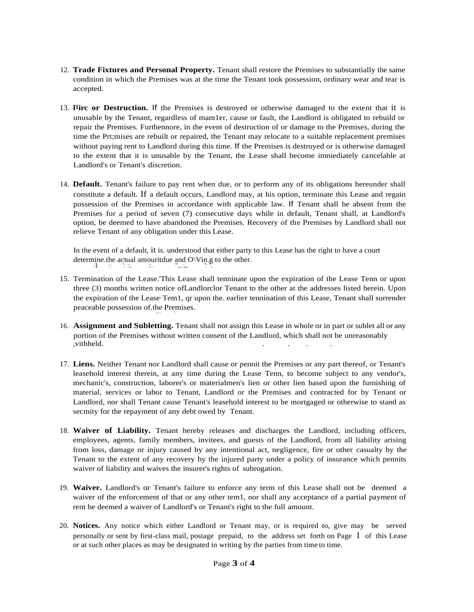- 12. **Trade Fixtures and Personal Property.** Tenant shall restore the Premises to substantially the same condition in which the Premises was at the time the Tenant took possession, ordinary wear and tear is accepted.
- 13. **l 1irc or Destruction.** If the Premises is destroyed or otherwise damaged to the extent that it is unusable by the Tenant, regardless of mam1er, cause or fault, the Landlord is obligated to rebuild or repair the Premises. Furthennore, in the event of destruction of or damage to the Premises, during the time the Prt;mises are rebuilt or repaired, the Tenant may relocate to a suitable replacement premises without paying rent to Landlord during this time. If the Premises is destroyed or is otherwise damaged to the extent that it is unusable by the Tenant, the Lease shall become imniediately cancelable at Landlord's or Tenant's discretion.
- 14. **Default.** Tenant's failure to pay rent when due, or to perform any of its obligations hereunder shall constitute a default. If a default occurs, Landlord may, at his option, terminate this Lease and regain possession of the Premises in accordance with applicable law. If Tenant shall be absent from the Premises for a period of seven (7) consecutive days while in default, Tenant shall, at Landlord's option, be deemed to have abandoned the Premises. Recovery of the Premises by Landlord shall not relieve Tenant of any obligation under this Lease.

In the event of a default, it is. understood that either party to this Lease has the right to have a court determine.the actual amouritdue and  $O\setminus V$ in.g to the other. ·1 *·:* ': ::, ::. "',,, ;,,. *'':* ",

- 15. Termination of the Lease.'This Lease shall tenninate upon the expiration of the Lease Tenn or upon three (3) months written notice ofLandlorclor Tenant to the other at the addresses listed herein. Upon the expiration of the Lease·Tem1, qr upon the. earlier tennination of this Lease, Tenant shall surrender peaceable possession of the Premises.
- 16. **Assignment and Subletting.** Tenant shall not assign this Lease in whole or in part or sublet all or any portion of the Premises without written consent of the Landlord, which shall not be unreasonably , vithheld.
- 17. **Liens.** Neither Tenant nor Landlord shall cause or pennit the Premises or any part thereof, or Tenant's leasehold interest therein, at any time during the Lease Tenn, to become subject to any vendor's, mechanic's, construction, laborer's or materialmen's lien or other lien based upon the furnishing of material, services or labor to Tenant, Landlord or the Premises and contracted for by Tenant or Landlord, nor shall Tenant cause Tenant's leasehold interest to be mortgaged or otherwise to stand as secmity for the repayment of any debt owed by Tenant.
- 18. **Waiver of Liability.** Tenant hereby releases and discharges the Landlord, including officers, employees, agents, family members, invitees, and guests of the Landlord, from all liability arising from loss, damage or injury caused by any intentional act, negligence, fire or other casualty by the Tenant to the extent of any recovery by the injured party under a policy of insurance which pennits waiver of liability and waives the insurer's rights of subrogation.
- 19. **Waiver.** Landlord's or Tenant's failure to enforce any term of this Lease shall not be deemed a waiver of the enforcement of that or any other tem1, nor shall any acceptance of a partial payment of rent be deemed a waiver of Landlord's or Tenant's right to the full amount.
- 20. **Notices.** Any notice which either Landlord or Tenant may, or is required to, give may be served personally or sent by first-class mail, postage prepaid, to the address set forth on Page I of this Lease or at such other places as may be designated in writing by the parties from time to time.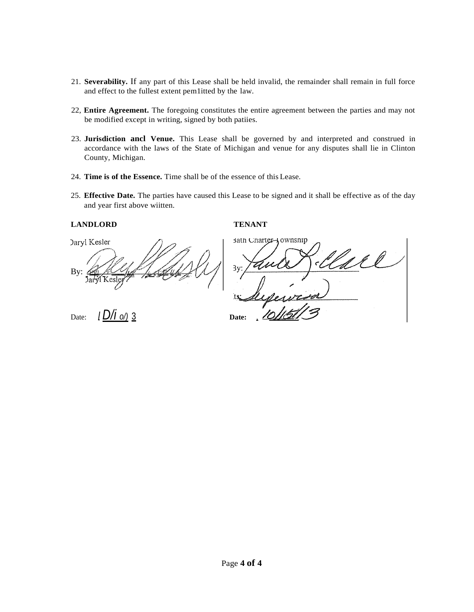- 21. **Severability.** If any part of this Lease shall be held invalid, the remainder shall remain in full force and effect to the fullest extent pem1itted by the law.
- 22, **Entire Agreement.** The foregoing constitutes the entire agreement between the parties and may not be modified except in writing, signed by both patiies.
- 23. **Jurisdiction ancl Venue.** This Lease shall be governed by and interpreted and construed in accordance with the laws of the State of Michigan and venue for any disputes shall lie in Clinton County, Michigan.
- 24. **Time is of the Essence.** Time shall be of the essence of this Lease.
- 25. **Effective Date.** The parties have caused this Lease to be signed and it shall be effective as of the day and year first above wiitten.

#### **LANDLORD TENANT**

**Daryl Kesler** By: *)?Cl <sup>r</sup> .\_,,,. I//* /. / /;;f". *{/ <sup>k</sup>* \_;. *<sup>I</sup> ? 7,f ,J' \_)* ,/ ,:,,;, *,?* ;;,;,-.,

Date:  $I \frac{D}{i} o/2$  3

sath Charter-Jownsnip Mar  $3y$ Date: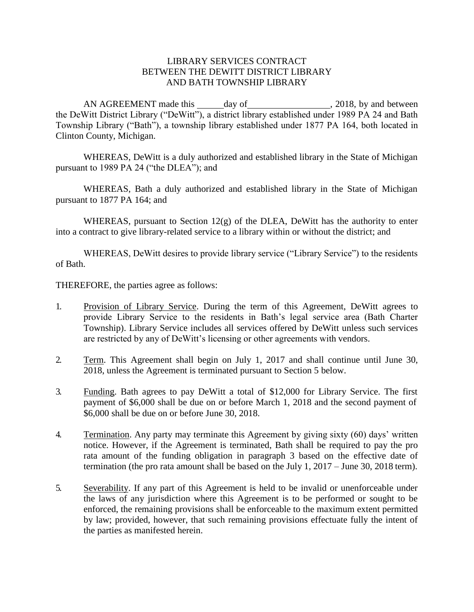#### LIBRARY SERVICES CONTRACT BETWEEN THE DEWITT DISTRICT LIBRARY AND BATH TOWNSHIP LIBRARY

AN AGREEMENT made this day of 3018, by and between the DeWitt District Library ("DeWitt"), a district library established under 1989 PA 24 and Bath Township Library ("Bath"), a township library established under 1877 PA 164, both located in Clinton County, Michigan.

WHEREAS, DeWitt is a duly authorized and established library in the State of Michigan pursuant to 1989 PA 24 ("the DLEA"); and

WHEREAS, Bath a duly authorized and established library in the State of Michigan pursuant to 1877 PA 164; and

WHEREAS, pursuant to Section  $12(g)$  of the DLEA, DeWitt has the authority to enter into a contract to give library-related service to a library within or without the district; and

WHEREAS, DeWitt desires to provide library service ("Library Service") to the residents of Bath.

THEREFORE, the parties agree as follows:

- 1. Provision of Library Service. During the term of this Agreement, DeWitt agrees to provide Library Service to the residents in Bath's legal service area (Bath Charter Township). Library Service includes all services offered by DeWitt unless such services are restricted by any of DeWitt's licensing or other agreements with vendors.
- 2. Term. This Agreement shall begin on July 1, 2017 and shall continue until June 30, 2018, unless the Agreement is terminated pursuant to Section 5 below.
- 3. Funding. Bath agrees to pay DeWitt a total of \$12,000 for Library Service. The first payment of \$6,000 shall be due on or before March 1, 2018 and the second payment of \$6,000 shall be due on or before June 30, 2018.
- 4. Termination. Any party may terminate this Agreement by giving sixty (60) days' written notice. However, if the Agreement is terminated, Bath shall be required to pay the pro rata amount of the funding obligation in paragraph 3 based on the effective date of termination (the pro rata amount shall be based on the July 1, 2017 – June 30, 2018 term).
- 5. Severability. If any part of this Agreement is held to be invalid or unenforceable under the laws of any jurisdiction where this Agreement is to be performed or sought to be enforced, the remaining provisions shall be enforceable to the maximum extent permitted by law; provided, however, that such remaining provisions effectuate fully the intent of the parties as manifested herein.